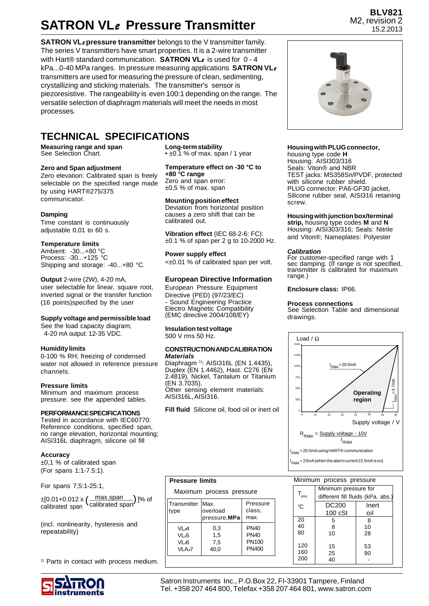## **SATRON VL***e* **Pressure Transmitter**

**SATRON VL***e* **pressure transmitter** belongs to the V transmitter family. The series V transmitters have smart properties. It is a 2-wire transmitter with Hart® standard communication. **SATRON VL***e* is used for 0 - 4 kPa...0-40 MPa ranges. In pressure measuring applications **SATRON VL***e* transmitters are used for measuring the pressure of clean, sedimenting, crystallizing and sticking materials. The transmitter's sensor is piezoresistive. The rangeability is even 100:1 depending on the range. The versatile selection of diaphragm materials will meet the needs in most processes.

### **TECHNICAL SPECIFICATIONS**

**Measuring range and span** See Selection Chart.

#### **Zero and Span adjustment**

Zero elevation: Calibrated span is freely selectable on the specified range made by using HART®275/375 communicator.

#### **Damping**

Time constant is continuously adjustable 0,01 to 60 s.

### **Temperature limits**

Ambient: -30...+80 °C Process: -30...+125 °C Shipping and storage: -40...+80 °C.

**Output** 2-wire (2W), 4-20 mA, user selectable for linear, square root, inverted signal or the transfer function (16 points)specified by the user

#### **Supply voltage and permissible load**

See the load capacity diagram; 4-20 mA output: 12-35 VDC.

#### **Humidity limits**

0-100 % RH; freezing of condensed water not allowed in reference pressure channels.

#### **Pressure limits**

Minimum and maximum process pressure: see the appended tables.

#### **PERFORMANCE SPECIFICATIONS**

Tested in accordance with IEC60770: Reference conditions, specified span, no range elevation, horizontal mounting; AISI316L diaphragm, silicone oil fill

#### **Accuracy**

±0,1 % of calibrated span (For spans 1:1-7.5:1).

For spans 7,5:1-25:1,

max.span calibrated span ±[0.01+0.012 x ]% of ( ) calibrated span

(incl. nonlinearity, hysteresis and repeatability)

<sup>1)</sup> Parts in contact with process medium.



**Long-term stability** • ±0.1 % of max. span / 1 year

**Temperature effect on -30 °C to +80 °C range**

Zero and span error:  $±0.5$  % of max. span

#### **Mounting position effect**

Deviation from horizontal position causes a zero shift that can be calibrated out.

**Vibration effect** (IEC 68-2-6: FC):  $±0.1$  % of span per 2 g to 10-2000 Hz.

**Power supply effect** <±0.01 % of calibrated span per volt.

#### **European Directive Information**

European Pressure Equipment Directive (PED) (97/23/EC) - Sound Engineering Practice Electro Magnetic Compatibility (EMC directive 2004/108/EY)

**Insulation test voltage** 500 V rms 50 Hz.

#### **CONSTRUCTION AND CALIBRATION** *Materials*

Diaphragm <sup>1)</sup>: AISI316L (EN 1.4435) Duplex (EN 1.4462), Hast. C276 (EN 2.4819), Nickel, Tantalum or Titanium (EN 3.7035). Other sensing element materials: AISI316L, AISI316.

**Fill fluid** Silicone oil, food oil or inert oil

#### **Pressure limits**

Maximum process pressure

| Transmitter<br>type | IMax.<br>overload<br>pressure, MPa | Pressure<br>class,<br>max. |  |  |
|---------------------|------------------------------------|----------------------------|--|--|
| VI A                | 0,3                                | <b>PN40</b>                |  |  |
| VL&                 | 1.5                                | <b>PN40</b>                |  |  |
| VL66                | 7.5                                | PN100                      |  |  |
| VLA <sub>e</sub> 7  | 40.0                               | PN400                      |  |  |



**BLV821** M2, revision 2

#### **Housing with PLUG connector,**

housing type code **H** Housing: AISI303/316 Seals: Viton® and NBR TEST jacks: MS358Sn/PVDF, protected with silicone rubber shield. PLUG connector: PA6-GF30 jacket, Silicone rubber seal, AISI316 retaining screw.

#### **Housing with junction box/terminal**

**strip,** housing type codes **M** and **N** Housing: AISI303/316; Seals: Nitrile and Viton®; Nameplates: Polyester

#### *Calibration*

For customer-specified range with 1 sec damping. (If range is not specified, transmitter is calibrated for maximum range.)

**Enclosure class:** IP66.

#### **Process connections**

See Selection Table and dimensional drawings.



| Minimum process pressure |                                   |          |  |  |  |  |
|--------------------------|-----------------------------------|----------|--|--|--|--|
|                          | Minimum pressure for              |          |  |  |  |  |
| ${\sf T}_{\rm proc}$     | different fill fluids (kPa, abs.) |          |  |  |  |  |
| °C                       | <b>DC200</b>                      | Inert    |  |  |  |  |
|                          | $100 \text{ cSt}$                 | oil      |  |  |  |  |
| 20                       | 5                                 | 8        |  |  |  |  |
| 40                       | 8                                 | 10       |  |  |  |  |
| 80                       | 10                                | 28       |  |  |  |  |
| 120<br>160<br>200        | 15<br>25                          | 53<br>90 |  |  |  |  |
|                          |                                   |          |  |  |  |  |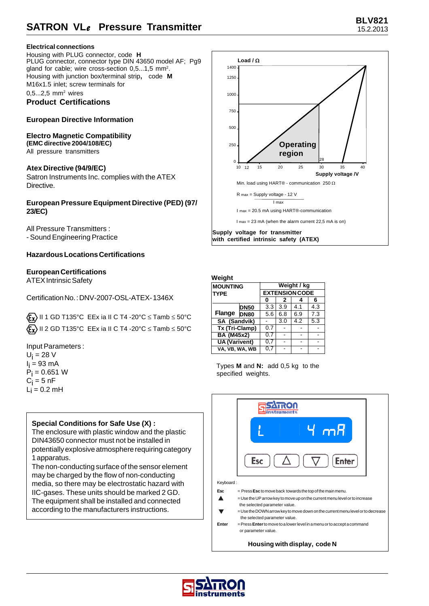### **Electrical connections**

Housing with PLUG connector, code **H** PLUG connector, connector type DIN 43650 model AF; Pg9 gland for cable; wire cross-section 0,5...1,5 mm<sup>2</sup>. Housing with junction box/terminal strip**,** code **M** M16x1.5 inlet; screw terminals for

0,5...2,5 mm<sup>2</sup> wires **Product Certifications**

### **European Directive Information**

**Electro Magnetic Compatibility (EMC directive 2004/108/EC)** All pressure transmitters

**Atex Directive (94/9/EC)** Satron Instruments Inc. complies with the ATEX Directive.

**European Pressure Equipment Directive (PED) (97/ 23/EC)**

All Pressure Transmitters : - Sound Engineering Practice

### **Hazardous Locations Certifications**

### **European Certifications**

ATEX Intrinsic Safety

Certification No. : DNV-2007-OSL-ATEX- 1346X

 $\langle \xi_{\mathbf{X}} \rangle$  II 1 GD T135°C EEx ia II C T4 -20°C  $\leq$  Tamb  $\leq$  50°C  $\langle \mathbf{F}_{\mathbf{x}} \rangle$  II 2 GD T135°C EEx ia II C T4 -20°C  $\leq$  Tamb  $\leq$  50°C

Input Parameters :

 $U_i = 28 V$ l<sub>i</sub> = 93 mA  $P_i = 0.651 W$  $\mathrm{C_{i}}$  = 5 nF  $L_i = 0.2$  mH

### **Special Conditions for Safe Use (X) :**

The enclosure with plastic window and the plastic DIN43650 connector must not be installed in potentially explosive atmosphere requiring category 1 apparatus.

The non-conducting surface of the sensor element may be charged by the flow of non-conducting media, so there may be electrostatic hazard with IIC-gases. These units should be marked 2 GD. The equipment shall be installed and connected according to the manufacturers instructions.



#### **Weight**

| <b>MOUNTING</b><br><b>TYPE</b> | Weight / kg<br><b>EXTENSION CODE</b> |     |     |     |     |
|--------------------------------|--------------------------------------|-----|-----|-----|-----|
|                                | 0                                    | 2   |     | 6   |     |
|                                | <b>DN50</b>                          | 3.3 | 3.9 | 4.1 | 4.3 |
| Flange                         | DN80                                 | 5.6 | 6.8 | 6.9 | 7.3 |
| SA (Sandvik)                   |                                      |     | 3.0 | 4.2 | 5.3 |
| Tx (Tri-Clamp)                 |                                      | 0.7 |     |     |     |
| <b>BA (M45x2)</b>              |                                      | 0.7 |     |     |     |
| <b>UA</b> (Varivent)           |                                      | 0,7 |     |     |     |
| VA. VB. WA. WB                 |                                      | 0.7 |     |     |     |

Types **M** and **N:** add 0,5 kg to the specified weights.



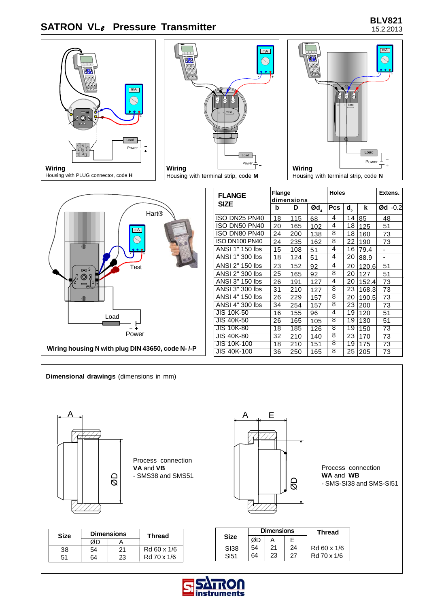# **BLV821 SATRON VL***e* **Pressure Transmitter** 15.2.2013









| <b>FLANGE</b>      | Flange<br>dimensions |     | <b>Holes</b>                 |     |                  | Extens. |                          |
|--------------------|----------------------|-----|------------------------------|-----|------------------|---------|--------------------------|
| <b>SIZE</b>        | b                    | D   | $\boldsymbol{\textsf{Od}}_4$ | Pcs | $\mathbf{d}_{2}$ | k       | $\emptyset$ d -0.2       |
| ISO DN25 PN40      | 18                   | 115 | 68                           | 4   | 14               | 85      | 48                       |
| ISO DN50 PN40      | 20                   | 165 | 102                          | 4   | 18               | 125     | 51                       |
| ISO DN80 PN40      | 24                   | 200 | 138                          | 8   | 18               | 160     | 73                       |
| ISO DN100 PN40     | 24                   | 235 | 162                          | 8   | 22               | 190     | 73                       |
| ANSI 1" 150 lbs    | 15                   | 108 | 51                           | 4   | 16               | 79.4    | -                        |
| ANSI 1" 300 lbs    | 18                   | 124 | 51                           | 4   | 20               | 88.9    | $\overline{\phantom{0}}$ |
| ANSI 2" 150 lbs    | 23                   | 152 | 92                           | 4   | 20               | 120.6   | 51                       |
| ANSI 2" 300 lbs    | 25                   | 165 | 92                           | 8   | 20               | 127     | 51                       |
| ANSI 3" 150 lbs    | 26                   | 191 | 127                          | 4   | 20               | 152.4   | 73                       |
| ANSI 3" 300 lbs    | 31                   | 210 | 127                          | 8   | 23               | 168.3   | 73                       |
| ANSI 4" 150 lbs    | 26                   | 229 | 157                          | 8   | 20               | 190.5   | 73                       |
| ANSI 4" 300 lbs    | 34                   | 254 | 157                          | 8   | 23               | 200     | 73                       |
| <b>JIS 10K-50</b>  | 16                   | 155 | 96                           | 4   | 19               | 120     | 51                       |
| <b>JIS 40K-50</b>  | 26                   | 165 | 105                          | ৪   | 19               | 130     | 51                       |
| <b>JIS 10K-80</b>  | 18                   | 185 | 126                          | 8   | 19               | 150     | 73                       |
| <b>JIS 40K-80</b>  | 32                   | 210 | 140                          | 8   | 23               | 170     | 73                       |
| <b>JIS 10K-100</b> | 18                   | 210 | 151                          | 8   | 19               | 175     | 73                       |
| <b>JIS 40K-100</b> | 36                   | 250 | 165                          | 8   | $\overline{25}$  | 205     | 73                       |



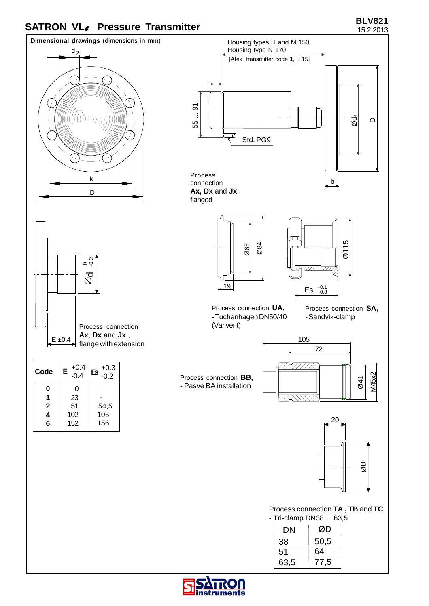## **BLV821 BLV821 BLV821 BLV821**



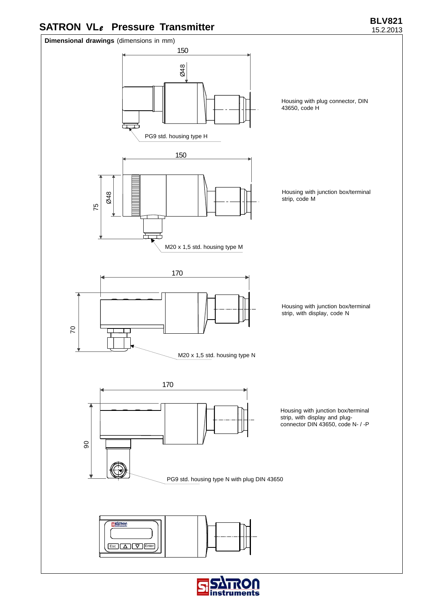## **BLV821 BLV821 BLV821 BLV821**